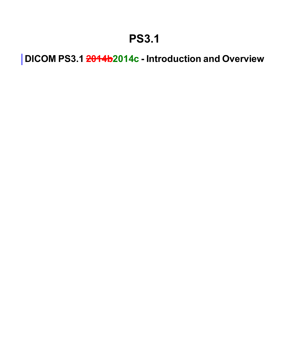### **PS3.1**

**DICOM PS3.1 2014b2014c - Introduction and Overview**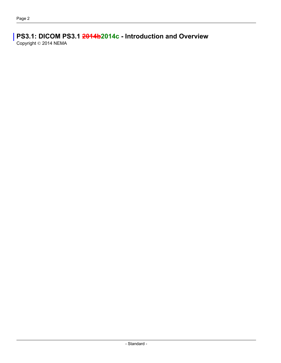### **PS3.1: DICOM PS3.1 2014b2014c - Introduction and Overview**

Copyright © 2014 NEMA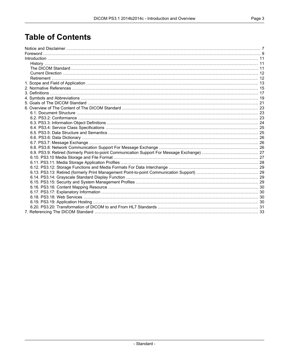### **Table of Contents**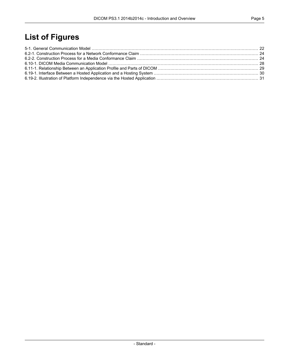### **List of Figures**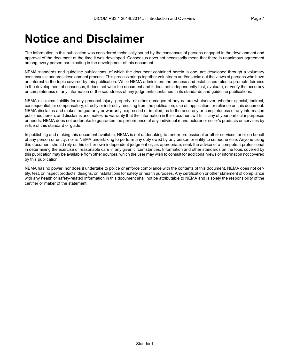### <span id="page-6-0"></span>**Notice and Disclaimer**

The information in this publication was considered technically sound by the consensus of persons engaged in the development and approval of the document at the time it was developed. Consensus does not necessarily mean that there is unanimous agreement among every person participating in the development of this document.

NEMA standards and guideline publications, of which the document contained herein is one, are developed through a voluntary consensus standards development process. This process brings together volunteers and/or seeks out the views of persons who have an interest in the topic covered by this publication. While NEMA administers the process and establishes rules to promote fairness in the development of consensus, it does not write the document and it does not independently test, evaluate, or verify the accuracy or completeness of any information or the soundness of any judgments contained in its standards and guideline publications.

NEMA disclaims liability for any personal injury, property, or other damages of any nature whatsoever, whether special, indirect, consequential, or compensatory, directly or indirectly resulting from the publication, use of, application, or reliance on this document. NEMA disclaims and makes no guaranty or warranty, expressed or implied, as to the accuracy or completeness of any information published herein, and disclaims and makes no warranty that the information in this document will fulfill any of your particular purposes or needs. NEMA does not undertake to guarantee the performance of any individual manufacturer or seller's products or services by virtue of this standard or guide.

In publishing and making this document available, NEMA is not undertaking to render professional or other services for or on behalf of any person or entity, nor is NEMA undertaking to perform any duty owed by any person or entity to someone else. Anyone using this document should rely on his or her own independent judgment or, as appropriate, seek the advice of a competent professional in determining the exercise of reasonable care in any given circumstances. Information and other standards on the topic covered by this publication may be available from other sources, which the user may wish to consult for additional views or information not covered by this publication.

NEMA has no power, nor does it undertake to police or enforce compliance with the contents of this document. NEMA does not certify, test, or inspect products, designs, or installations for safety or health purposes. Any certification or other statement of compliance with any health or safety-related information in this document shall not be attributable to NEMA and is solely the responsibility of the certifier or maker of the statement.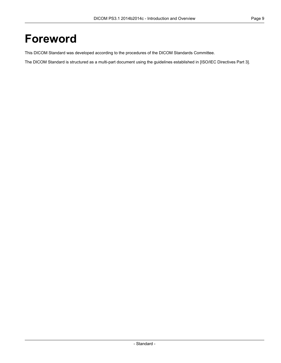### <span id="page-8-0"></span>**Foreword**

This DICOM Standard was developed according to the procedures of the DICOM Standards Committee.

The DICOM Standard is structured as a multi-part document using the guidelines established in [ISO/IEC [Directives](#page-14-1) Part 3].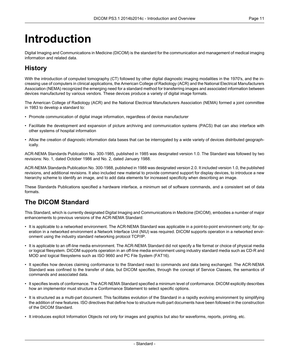# <span id="page-10-0"></span>**Introduction**

<span id="page-10-1"></span>Digital Imaging and Communications in Medicine (DICOM) is the standard for the communication and management of medical imaging information and related data.

### **History**

With the introduction of computed tomography (CT) followed by other digital diagnostic imaging modalities in the 1970's, and the increasing use of computers in clinical applications, the American College of Radiology (ACR) and the National Electrical Manufacturers Association (NEMA) recognized the emerging need for a standard method for transferring images and associated information between devices manufactured by various vendors. These devices produce a variety of digital image formats.

The American College of Radiology (ACR) and the National Electrical Manufacturers Association (NEMA) formed a joint committee in 1983 to develop a standard to:

- Promote communication of digital image information, regardless of device manufacturer
- Facilitate the development and expansion of picture archiving and communication systems (PACS) that can also interface with other systems of hospital information
- Allow the creation of diagnostic information data bases that can be interrogated by a wide variety of devices distributed geographically.

ACR-NEMA Standards Publication No. 300-1985, published in 1985 was designated version 1.0. The Standard was followed by two revisions: No. 1, dated October 1986 and No. 2, dated January 1988.

<span id="page-10-2"></span>ACR-NEMA Standards Publication No. 300-1988, published in 1988 was designated version 2.0. It included version 1.0, the published revisions, and additional revisions. It also included new material to provide command support for display devices, to introduce a new hierarchy scheme to identify an image, and to add data elements for increased specificity when describing an image.

These Standards Publications specified a hardware interface, a minimum set of software commands, and a consistent set of data formats.

#### **The DICOM Standard**

This Standard, which is currently designated Digital Imaging and Communications in Medicine (DICOM), embodies a number of major enhancements to previous versions of the ACR-NEMA Standard:

- It is applicable to a networked environment. The ACR-NEMA Standard was applicable in a point-to-point environment only; for operation in a networked environment a Network Interface Unit (NIU) was required. DICOM supports operation in a networked environment using the industry standard networking protocol TCP/IP.
- It is applicable to an off-line media environment. The ACR-NEMA Standard did not specify a file format or choice of physical media or logical filesystem. DICOM supports operation in an off-line media environment using industry standard media such as CD-R and MOD and logical filesystems such as ISO 9660 and PC File System (FAT16).
- It specifies how devices claiming conformance to the Standard react to commands and data being exchanged. The ACR-NEMA Standard was confined to the transfer of data, but DICOM specifies, through the concept of Service Classes, the semantics of commands and associated data.
- It specifies levels of conformance. The ACR-NEMA Standard specified a minimum level of conformance. DICOM explicitly describes how an implementor must structure a Conformance Statement to select specific options.
- It is structured as a multi-part document. This facilitates evolution of the Standard in a rapidly evolving environment by simplifying the addition of new features. ISO directives that define how to structure multi-part documents have been followed in the construction of the DICOM Standard.
- It introduces explicit Information Objects not only for images and graphics but also for waveforms, reports, printing, etc.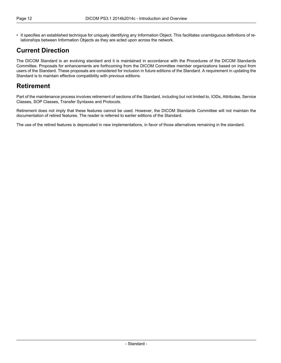• It specifies an established technique for uniquely identifying any Information Object. This facilitates unambiguous definitions of relationships between Information Objects as they are acted upon across the network.

### <span id="page-11-0"></span>**Current Direction**

<span id="page-11-1"></span>The DICOM Standard is an evolving standard and it is maintained in accordance with the Procedures of the DICOM Standards Committee. Proposals for enhancements are forthcoming from the DICOM Committee member organizations based on input from users of the Standard. These proposals are considered for inclusion in future editions of the Standard. A requirement in updating the Standard is to maintain effective compatibility with previous editions.

### **Retirement**

Part of the maintenance process involves retirement of sections of the Standard, including but not limited to, IODs, Attributes, Service Classes, SOP Classes, Transfer Syntaxes and Protocols.

Retirement does not imply that these features cannot be used. However, the DICOM Standards Committee will not maintain the documentation of retired features. The reader is referred to earlier editions of the Standard.

The use of the retired features is deprecated in new implementations, in favor of those alternatives remaining in the standard.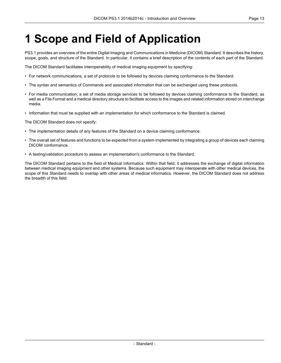# <span id="page-12-0"></span>**1 Scope and Field of Application**

PS3.1 provides an overview of the entire Digital Imaging and Communications in Medicine (DICOM) Standard. It describes the history, scope, goals, and structure of the Standard. In particular, it contains a brief description of the contents of each part of the Standard.

The DICOM Standard facilitates interoperability of medical imaging equipment by specifying:

- For network communications, a set of protocols to be followed by devices claiming conformance to the Standard.
- The syntax and semantics of Commands and associated information that can be exchanged using these protocols.
- For media communication, a set of media storage services to be followed by devices claiming conformance to the Standard, as well as a File Format and a medical directory structure to facilitate access to the images and related information stored on interchange media.
- Information that must be supplied with an implementation for which conformance to the Standard is claimed.

The DICOM Standard does not specify:

- The implementation details of any features of the Standard on a device claiming conformance.
- The overall set of features and functions to be expected from a system implemented by integrating a group of devices each claiming DICOM conformance.
- A testing/validation procedure to assess an implementation's conformance to the Standard.

The DICOM Standard pertains to the field of Medical Informatics. Within that field, it addresses the exchange of digital information between medical imaging equipment and other systems. Because such equipment may interoperate with other medical devices, the scope of this Standard needs to overlap with other areas of medical informatics. However, the DICOM Standard does not address the breadth of this field.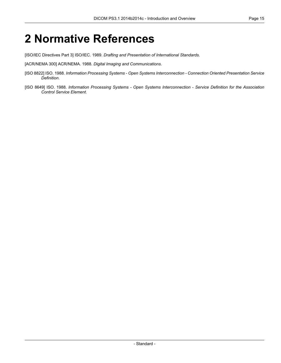### <span id="page-14-0"></span>**2 Normative References**

<span id="page-14-1"></span>[ISO/IEC Directives Part 3] ISO/IEC. 1989. *Drafting and Presentation of International Standards*.

[ACR/NEMA 300] ACR/NEMA. 1988. *Digital Imaging and Communications*.

- [ISO 8822] ISO. 1988. *Information Processing Systems - Open Systems Interconnection - Connection Oriented Presentation Service Definition*.
- [ISO 8649] ISO. 1988. *Information Processing Systems - Open Systems Interconnection - Service Definition for the Association Control Service Element*.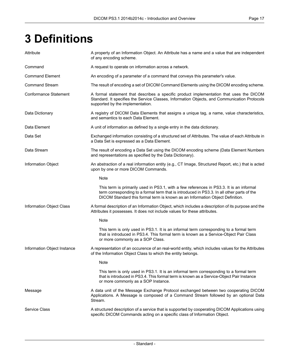# <span id="page-16-0"></span>**3 Definitions**

| Attribute                    | A property of an Information Object. An Attribute has a name and a value that are independent<br>of any encoding scheme.                                                                                                                                               |
|------------------------------|------------------------------------------------------------------------------------------------------------------------------------------------------------------------------------------------------------------------------------------------------------------------|
| Command                      | A request to operate on information across a network.                                                                                                                                                                                                                  |
| <b>Command Element</b>       | An encoding of a parameter of a command that conveys this parameter's value.                                                                                                                                                                                           |
| <b>Command Stream</b>        | The result of encoding a set of DICOM Command Elements using the DICOM encoding scheme.                                                                                                                                                                                |
| <b>Conformance Statement</b> | A formal statement that describes a specific product implementation that uses the DICOM<br>Standard. It specifies the Service Classes, Information Objects, and Communication Protocols<br>supported by the implementation.                                            |
| Data Dictionary              | A registry of DICOM Data Elements that assigns a unique tag, a name, value characteristics,<br>and semantics to each Data Element.                                                                                                                                     |
| Data Element                 | A unit of information as defined by a single entry in the data dictionary.                                                                                                                                                                                             |
| Data Set                     | Exchanged information consisting of a structured set of Attributes. The value of each Attribute in<br>a Data Set is expressed as a Data Element.                                                                                                                       |
| Data Stream                  | The result of encoding a Data Set using the DICOM encoding scheme (Data Element Numbers<br>and representations as specified by the Data Dictionary).                                                                                                                   |
| Information Object           | An abstraction of a real information entity (e.g., CT Image, Structured Report, etc.) that is acted<br>upon by one or more DICOM Commands.                                                                                                                             |
|                              | Note                                                                                                                                                                                                                                                                   |
|                              | This term is primarily used in PS3.1, with a few references in PS3.3. It is an informal<br>term corresponding to a formal term that is introduced in PS3.3. In all other parts of the<br>DICOM Standard this formal term is known as an Information Object Definition. |
| Information Object Class     | A formal description of an Information Object, which includes a description of its purpose and the<br>Attributes it possesses. It does not include values for these attributes.                                                                                        |
|                              | Note                                                                                                                                                                                                                                                                   |
|                              | This term is only used in PS3.1. It is an informal term corresponding to a formal term<br>that is introduced in PS3.4. This formal term is known as a Service-Object Pair Class<br>or more commonly as a SOP Class.                                                    |
| Information Object Instance  | A representation of an occurence of an real-world entity, which includes values for the Attributes<br>of the Information Object Class to which the entity belongs.                                                                                                     |
|                              | Note                                                                                                                                                                                                                                                                   |
|                              | This term is only used in PS3.1. It is an informal term corresponding to a formal term<br>that is introduced in PS3.4. This formal term is known as a Service-Object Pair Instance<br>or more commonly as a SOP Instance.                                              |
| Message                      | A data unit of the Message Exchange Protocol exchanged between two cooperating DICOM<br>Applications. A Message is composed of a Command Stream followed by an optional Data<br>Stream.                                                                                |
| <b>Service Class</b>         | A structured description of a service that is supported by cooperating DICOM Applications using<br>specific DICOM Commands acting on a specific class of Information Object.                                                                                           |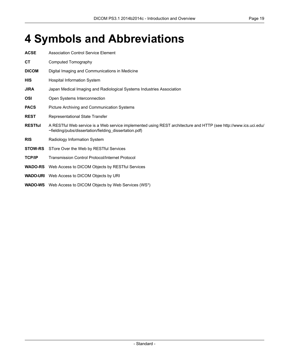# <span id="page-18-0"></span>**4 Symbols and Abbreviations**

| <b>ACSE</b>    | <b>Association Control Service Element</b>                                                                                                                                 |
|----------------|----------------------------------------------------------------------------------------------------------------------------------------------------------------------------|
| СT             | Computed Tomography                                                                                                                                                        |
| <b>DICOM</b>   | Digital Imaging and Communications in Medicine                                                                                                                             |
| <b>HIS</b>     | <b>Hospital Information System</b>                                                                                                                                         |
| <b>JIRA</b>    | Japan Medical Imaging and Radiological Systems Industries Association                                                                                                      |
| <b>OSI</b>     | Open Systems Interconnection                                                                                                                                               |
| <b>PACS</b>    | Picture Archiving and Communication Systems                                                                                                                                |
| <b>REST</b>    | Representational State Transfer                                                                                                                                            |
| <b>RESTful</b> | A RESTful Web service is a Web service implemented using REST architecture and HTTP (see http://www.ics.uci.edu/<br>~fielding/pubs/dissertation/fielding_dissertation.pdf) |
| <b>RIS</b>     | Radiology Information System                                                                                                                                               |
| <b>STOW-RS</b> | STore Over the Web by RESTful Services                                                                                                                                     |
| <b>TCP/IP</b>  | <b>Transmission Control Protocol/Internet Protocol</b>                                                                                                                     |
| <b>WADO-RS</b> | Web Access to DICOM Objects by RESTful Services                                                                                                                            |
|                | <b>WADO-URI</b> Web Access to DICOM Objects by URI                                                                                                                         |
|                | <b>WADO-WS</b> Web Access to DICOM Objects by Web Services (WS*)                                                                                                           |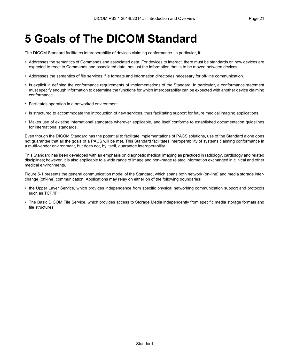## <span id="page-20-0"></span>**5 Goals of The DICOM Standard**

The DICOM Standard facilitates interoperability of devices claiming conformance. In particular, it:

- Addresses the semantics of Commands and associated data. For devices to interact, there must be standards on how devices are expected to react to Commands and associated data, not just the information that is to be moved between devices.
- Addresses the semantics of file services, file formats and information directories necessary for off-line communication.
- Is explicit in defining the conformance requirements of implementations of the Standard. In particular, a conformance statement must specify enough information to determine the functions for which interoperability can be expected with another device claiming conformance.
- Facilitates operation in a networked environment.
- Is structured to accommodate the introduction of new services, thus facilitating support for future medical imaging applications.
- Makes use of existing international standards wherever applicable, and itself conforms to established documentation guidelines for international standards.

Even though the DICOM Standard has the potential to facilitate implementations of PACS solutions, use of the Standard alone does not guarantee that all the goals of a PACS will be met. This Standard facilitates interoperability of systems claiming conformance in a multi-vendor environment, but does not, by itself, guarantee interoperability.

This Standard has been developed with an emphasis on diagnostic medical imaging as practiced in radiology, cardiology and related disciplines; however, it is also applicable to a wide range of image and non-image related information exchanged in clinical and other medical environments.

[Figure](#page-21-0) 5-1 presents the general communication model of the Standard, which spans both network (on-line) and media storage interchange (off-line) communication. Applications may relay on either on of the following boundaries:

- the Upper Layer Service, which provides independence from specific physical networking communication support and protocols such as TCP/IP.
- The Basic DICOM File Service, which provides access to Storage Media independently from specific media storage formats and file structures.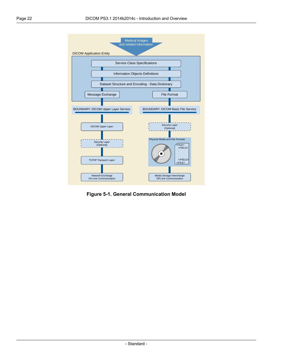<span id="page-21-0"></span>

**Figure 5-1. General Communication Model**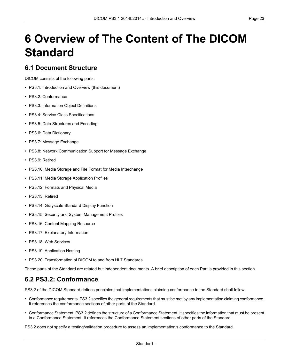# <span id="page-22-0"></span>**6 Overview of The Content of The DICOM Standard**

#### <span id="page-22-1"></span>**6.1 Document Structure**

DICOM consists of the following parts:

- PS3.1: Introduction and Overview (this document)
- PS3.2: [Conformance](part02.pdf#PS3.2)
- PS3.3: [Information](part03.pdf#PS3.3) Object Definitions
- PS3.4: Service Class [Specifications](part04.pdf#PS3.4)
- PS3.5: Data [Structures](part05.pdf#PS3.5) and Encoding
- PS3.6: Data [Dictionary](part06.pdf#PS3.6)
- PS3.7: Message [Exchange](part07.pdf#PS3.7)
- PS3.8: Network [Communication](part08.pdf#PS3.8) Support for Message Exchange
- PS3.9: Retired
- PS3.10: Media Storage and File Format for Media [Interchange](part10.pdf#PS3.10)
- PS3.11: Media Storage [Application](part11.pdf#PS3.11) Profiles
- PS3.12: Formats and [Physical](part12.pdf#PS3.12) Media
- PS3.13: Retired
- PS3.14: [Grayscale](part14.pdf#PS3.14) Standard Display Function
- PS3.15: Security and System [Management](part15.pdf#PS3.15) Profiles
- PS3.16: Content Mapping [Resource](part16.pdf#PS3.16)
- PS3.17: [Explanatory](part17.pdf#PS3.17) Information
- PS3.18: Web [Services](part18.pdf#PS3.18)
- <span id="page-22-2"></span>• PS3.19: [Application](part19.pdf#PS3.19) Hosting
- PS3.20: [Transformation](part20.pdf#PS3.20) of DICOM to and from HL7 Standards

These parts of the Standard are related but independent documents. A brief description of each Part is provided in this section.

#### **6.2 PS3.2: Conformance**

[PS3.2](part02.pdf#PS3.2) of the DICOM Standard defines principles that implementations claiming conformance to the Standard shall follow:

- Conformance requirements. [PS3.2](part02.pdf#PS3.2) specifies the general requirements that must be met by any implementation claiming conformance. It references the conformance sections of other parts of the Standard.
- Conformance Statement. [PS3.2](part02.pdf#PS3.2) defines the structure of a Conformance Statement. It specifies the information that must be present in a Conformance Statement. It references the Conformance Statement sections of other parts of the Standard.

[PS3.2](part02.pdf#PS3.2) does not specify a testing/validation procedure to assess an implementation's conformance to the Standard.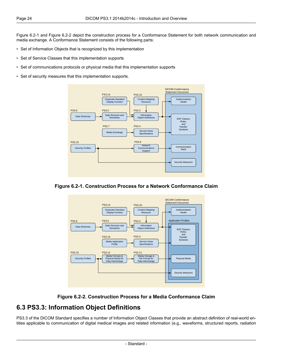[Figure](#page-23-1) 6.2-1 and [Figure](#page-23-2) 6.2-2 depict the construction process for a Conformance Statement for both network communication and media exchange. A Conformance Statement consists of the following parts:

- Set of Information Objects that is recognized by this implementation
- Set of Service Classes that this implementation supports
- Set of communications protocols or physical media that this implementation supports
- <span id="page-23-1"></span>• Set of security measures that this implementation supports.



<span id="page-23-2"></span>





#### <span id="page-23-0"></span>**6.3 PS3.3: Information Object Definitions**

[PS3.3](part03.pdf#PS3.3) of the DICOM Standard specifies a number of Information Object Classes that provide an abstract definition of real-world entities applicable to communication of digital medical images and related information (e.g., waveforms, structured reports, radiation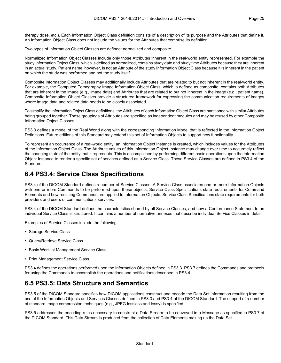therapy dose, etc.). Each Information Object Class definition consists of a description of its purpose and the Attributes that define it. An Information Object Class does not include the values for the Attributes that comprise its definition.

Two types of Information Object Classes are defined: normalized and composite.

Normalized Information Object Classes include only those Attributes inherent in the real-world entity represented. For example the study Information Object Class, which is defined as normalized, contains study date and study time Attributes because they are inherent in an actual study. Patient name, however, is not an Attribute of the study Information Object Class because it is inherent in the patient on which the study was performed and not the study itself.

Composite Information Object Classes may additionally include Attributes that are related to but not inherent in the real-world entity. For example, the Computed Tomography Image Information Object Class, which is defined as composite, contains both Attributes that are inherent in the image (e.g., image date) and Attributes that are related to but not inherent in the image (e.g., patient name). Composite Information Object Classes provide a structured framework for expressing the communication requirements of images where image data and related data needs to be closely associated.

To simplify the Information Object Class definitions, the Attributes of each Information Object Class are partitioned with similar Attributes being grouped together. These groupings of Attributes are specified as independent modules and may be reused by other Composite Information Object Classes.

[PS3.3](part03.pdf#PS3.3) defines a model of the Real World along with the corresponding Information Model that is reflected in the Information Object Definitions. Future editions of this Standard may extend this set of Information Objects to support new functionality.

<span id="page-24-0"></span>To represent an occurrence of a real-world entity, an Information Object Instance is created, which includes values for the Attributes of the Information Object Class. The Attribute values of this Information Object Instance may change over time to accurately reflect the changing state of the entity that it represents. This is accomplished by performing different basic operations upon the Information Object Instance to render a specific set of services defined as a Service Class. These Service Classes are defined in [PS3.4](part04.pdf#PS3.4) of the Standard.

#### **6.4 PS3.4: Service Class Specifications**

[PS3.4](part04.pdf#PS3.4) of the DICOM Standard defines a number of Service Classes. A Service Class associates one or more Information Objects with one or more Commands to be performed upon these objects. Service Class Specifications state requirements for Command Elements and how resulting Commands are applied to Information Objects. Service Class Specifications state requirements for both providers and users of communications services.

[PS3.4](part04.pdf#PS3.4) of the DICOM Standard defines the characteristics shared by all Service Classes, and how a Conformance Statement to an individual Service Class is structured. It contains a number of normative annexes that describe individual Service Classes in detail.

Examples of Service Classes include the following:

- Storage Service Class
- Query/Retrieve Service Class
- <span id="page-24-1"></span>• Basic Worklist Management Service Class
- Print Management Service Class.

[PS3.4](part04.pdf#PS3.4) defines the operations performed upon the Information Objects defined in [PS3.3.](part03.pdf#PS3.3) [PS3.7](part07.pdf#PS3.7) defines the Commands and protocols for using the Commands to accomplish the operations and notifications described in [PS3.4](part04.pdf#PS3.4).

#### **6.5 PS3.5: Data Structure and Semantics**

[PS3.5](part05.pdf#PS3.5) of the DICOM Standard specifies how DICOM applications construct and encode the Data Set information resulting from the use of the Information Objects and Services Classes defined in [PS3.3](part03.pdf#PS3.3) and [PS3.4](part04.pdf#PS3.4) of the DICOM Standard. The support of a number of standard image compression techniques (e.g., JPEG lossless and lossy) is specified.

[PS3.5](part05.pdf#PS3.5) addresses the encoding rules necessary to construct a Data Stream to be conveyed in a Message as specified in [PS3.7](part07.pdf#PS3.7) of the DICOM Standard. This Data Stream is produced from the collection of Data Elements making up the Data Set.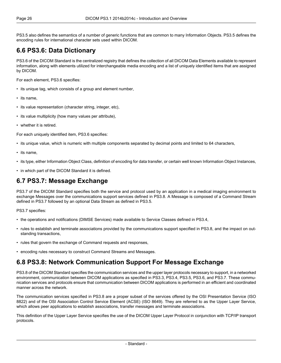<span id="page-25-0"></span>[PS3.5](part05.pdf#PS3.5) also defines the semantics of a number of generic functions that are common to many Information Objects. [PS3.5](part05.pdf#PS3.5) defines the encoding rules for international character sets used within DICOM.

#### **6.6 PS3.6: Data Dictionary**

[PS3.6](part06.pdf#PS3.6) of the DICOM Standard is the centralized registry that defines the collection of all DICOM Data Elements available to represent information, along with elements utilized for interchangeable media encoding and a list of uniquely identified items that are assigned by DICOM.

For each element, [PS3.6](part06.pdf#PS3.6) specifies:

- its unique tag, which consists of a group and element number,
- its name,
- its value representation (character string, integer, etc),
- its value multiplicity (how many values per attribute),
- whether it is retired.

For each uniquely identified item, [PS3.6](part06.pdf#PS3.6) specifies:

- its unique value, which is numeric with multiple components separated by decimal points and limited to 64 characters,
- its name,
- <span id="page-25-1"></span>• its type, either Information Object Class, definition of encoding for data transfer, or certain well known Information Object Instances,
- in which part of the DICOM Standard it is defined.

#### **6.7 PS3.7: Message Exchange**

[PS3.7](part07.pdf#PS3.7) of the DICOM Standard specifies both the service and protocol used by an application in a medical imaging environment to exchange Messages over the communications support services defined in [PS3.8.](part08.pdf#PS3.8) A Message is composed of a Command Stream defined in [PS3.7](part07.pdf#PS3.7) followed by an optional Data Stream as defined in [PS3.5](part05.pdf#PS3.5).

[PS3.7](part07.pdf#PS3.7) specifies:

- the operations and notifications (DIMSE Services) made available to Service Classes defined in [PS3.4,](part04.pdf#PS3.4)
- <span id="page-25-2"></span>• rules to establish and terminate associations provided by the communications support specified in [PS3.8,](part08.pdf#PS3.8) and the impact on outstanding transactions,
- rules that govern the exchange of Command requests and responses,
- encoding rules necessary to construct Command Streams and Messages.

#### **6.8 PS3.8: Network Communication Support For Message Exchange**

[PS3.8](part08.pdf#PS3.8) of the DICOM Standard specifies the communication services and the upper layer protocols necessary to support, in a networked environment, communication between DICOM applications as specified in [PS3.3](part03.pdf#PS3.3), [PS3.4,](part04.pdf#PS3.4) [PS3.5](part05.pdf#PS3.5), [PS3.6,](part06.pdf#PS3.6) and [PS3.7.](part07.pdf#PS3.7) These communication services and protocols ensure that communication between DICOM applications is performed in an efficient and coordinated manner across the network.

The communication services specified in [PS3.8](part08.pdf#PS3.8) are a proper subset of the services offered by the OSI Presentation Service (ISO 8822) and of the OSI Association Control Service Element (ACSE) (ISO 8649). They are referred to as the Upper Layer Service, which allows peer applications to establish associations, transfer messages and terminate associations.

This definition of the Upper Layer Service specifies the use of the DICOM Upper Layer Protocol in conjunction with TCP/IP transport protocols.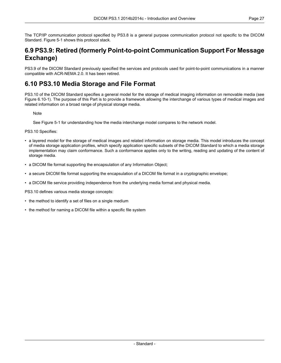<span id="page-26-0"></span>The TCP/IP communication protocol specified by [PS3.8](part08.pdf#PS3.8) is a general purpose communication protocol not specific to the DICOM Standard. [Figure](#page-21-0) 5-1 shows this protocol stack.

#### **6.9 PS3.9: Retired (formerly Point-to-point Communication Support For Message Exchange)**

<span id="page-26-1"></span>PS3.9 of the DICOM Standard previously specified the services and protocols used for point-to-point communications in a manner compatible with ACR-NEMA 2.0. It has been retired.

#### **6.10 PS3.10 Media Storage and File Format**

[PS3.10](part10.pdf#PS3.10) of the DICOM Standard specifies a general model for the storage of medical imaging information on removable media (see Figure [6.10-1\)](#page-27-1). The purpose of this Part is to provide a framework allowing the interchange of various types of medical images and related information on a broad range of physical storage media.

**Note** 

See [Figure](#page-21-0) 5-1 for understanding how the media interchange model compares to the network model.

[PS3.10](part10.pdf#PS3.10) Specifies:

- a layered model for the storage of medical images and related information on storage media. This model introduces the concept of media storage application profiles, which specify application specific subsets of the DICOM Standard to which a media storage implementation may claim conformance. Such a conformance applies only to the writing, reading and updating of the content of storage media.
- a DICOM file format supporting the encapsulation of any Information Object;
- a secure DICOM file format supporting the encapsulation of a DICOM file format in a cryptographic envelope;
- a DICOM file service providing independence from the underlying media format and physical media.

[PS3.10](part10.pdf#PS3.10) defines various media storage concepts:

- the method to identify a set of files on a single medium
- the method for naming a DICOM file within a specific file system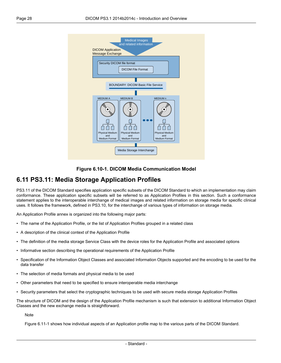<span id="page-27-1"></span>



#### <span id="page-27-0"></span>**6.11 PS3.11: Media Storage Application Profiles**

[PS3.11](part11.pdf#PS3.11) of the DICOM Standard specifies application specific subsets of the DICOM Standard to which an implementation may claim conformance. These application specific subsets will be referred to as Application Profiles in this section. Such a conformance statement applies to the interoperable interchange of medical images and related information on storage media for specific clinical uses. It follows the framework, defined in [PS3.10](part10.pdf#PS3.10), for the interchange of various types of information on storage media.

An Application Profile annex is organized into the following major parts:

- The name of the Application Profile, or the list of Application Profiles grouped in a related class
- A description of the clinical context of the Application Profile
- The definition of the media storage Service Class with the device roles for the Application Profile and associated options
- Informative section describing the operational requirements of the Application Profile
- Specification of the Information Object Classes and associated Information Objects supported and the encoding to be used for the data transfer
- The selection of media formats and physical media to be used
- Other parameters that need to be specified to ensure interoperable media interchange
- Security parameters that select the cryptographic techniques to be used with secure media storage Application Profiles

The structure of DICOM and the design of the Application Profile mechanism is such that extension to additional Information Object Classes and the new exchange media is straightforward.

**Note** 

[Figure](#page-28-4) 6.11-1 shows how individual aspects of an Application profile map to the various parts of the DICOM Standard.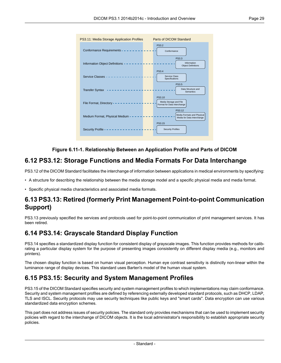<span id="page-28-4"></span>

#### **Figure 6.11-1. Relationship Between an Application Profile and Parts of DICOM**

#### <span id="page-28-0"></span>**6.12 PS3.12: Storage Functions and Media Formats For Data Interchange**

[PS3.12](part12.pdf#PS3.12) of the DICOM Standard facilitates the interchange of information between applications in medical environments by specifying:

<span id="page-28-1"></span>• A structure for describing the relationship between the media storage model and a specific physical media and media format.

• Specific physical media characteristics and associated media formats.

#### <span id="page-28-2"></span>**6.13 PS3.13: Retired (formerly Print Management Point-to-point Communication Support)**

PS3.13 previously specified the services and protocols used for point-to-point communication of print management services. It has been retired.

#### **6.14 PS3.14: Grayscale Standard Display Function**

<span id="page-28-3"></span>[PS3.14](part14.pdf#PS3.14) specifies a standardized display function for consistent display of grayscale images. This function provides methods for calibrating a particular display system for the purpose of presenting images consistently on different display media (e.g., monitors and printers).

The chosen display function is based on human visual perception. Human eye contrast sensitivity is distinctly non-linear within the luminance range of display devices. This standard uses Barten's model of the human visual system.

#### **6.15 PS3.15: Security and System Management Profiles**

[PS3.15](part15.pdf#PS3.15) of the DICOM Standard specifies security and system management profiles to which implementations may claim conformance. Security and system management profiles are defined by referencing externally developed standard protocols, such as DHCP, LDAP, TLS and ISCL. Security protocols may use security techniques like public keys and "smart cards". Data encryption can use various standardized data encryption schemes.

This part does not address issues of security policies. The standard only provides mechanisms that can be used to implement security policies with regard to the interchange of DICOM objects. It is the local administrator's responsibility to establish appropriate security policies.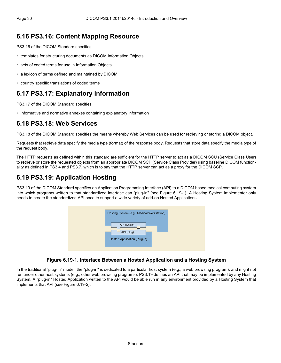#### <span id="page-29-0"></span>**6.16 PS3.16: Content Mapping Resource**

[PS3.16](part16.pdf#PS3.16) of the DICOM Standard specifies:

- templates for structuring documents as DICOM Information Objects
- sets of coded terms for use in Information Objects
- a lexicon of terms defined and maintained by DICOM
- <span id="page-29-1"></span>• country specific translations of coded terms

#### **6.17 PS3.17: Explanatory Information**

<span id="page-29-2"></span>[PS3.17](part17.pdf#PS3.17) of the DICOM Standard specifies:

• informative and normative annexes containing explanatory information

#### **6.18 PS3.18: Web Services**

[PS3.18](part18.pdf#PS3.18) of the DICOM Standard specifies the means whereby Web Services can be used for retrieving or storing a DICOM object.

Requests that retrieve data specify the media type (format) of the response body. Requests that store data specify the media type of the request body.

<span id="page-29-3"></span>The HTTP requests as defined within this standard are sufficient for the HTTP server to act as a DICOM SCU (Service Class User) to retrieve or store the requested objects from an appropriate DICOM SCP (Service Class Provider) using baseline DICOM functionality as defined in [PS3.4](part04.pdf#PS3.4) and [PS3.7,](part07.pdf#PS3.7) which is to say that the HTTP server can act as a proxy for the DICOM SCP.

#### **6.19 PS3.19: Application Hosting**

<span id="page-29-4"></span>[PS3.19](part19.pdf#PS3.19) of the DICOM Standard specifies an Application Programming Interface (API) to a DICOM based medical computing system into which programs written to that standardized interface can "plug-in" (see [Figure](#page-29-4) 6.19-1). A Hosting System implementer only needs to create the standardized API once to support a wide variety of add-on Hosted Applications.



#### **Figure 6.19-1. Interface Between a Hosted Application and a Hosting System**

In the traditional "plug-in" model, the "plug-in" is dedicated to a particular host system (e.g., a web browsing program), and might not run under other host systems (e.g., other web browsing programs). [PS3.19](part19.pdf#PS3.19) defines an API that may be implemented by any Hosting System. A "plug-in" Hosted Application written to the API would be able run in any environment provided by a Hosting System that implements that API (see [Figure](#page-30-1) 6.19-2).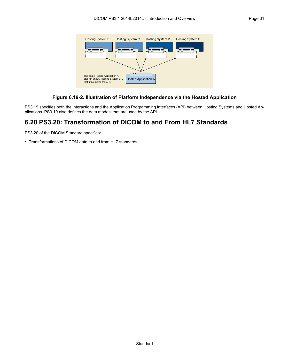<span id="page-30-1"></span>

#### **Figure 6.19-2. Illustration of Platform Independence via the Hosted Application**

<span id="page-30-0"></span>[PS3.19](part19.pdf#PS3.19) specifies both the interactions and the Application Programming Interfaces (API) between Hosting Systems and Hosted Applications. [PS3.19](part19.pdf#PS3.19) also defines the data models that are used by the API.

#### **6.20 PS3.20: Transformation of DICOM to and From HL7 Standards**

[PS3.20](part20.pdf#PS3.20) of the DICOM Standard specifies:

• Transformations of DICOM data to and from HL7 standards.